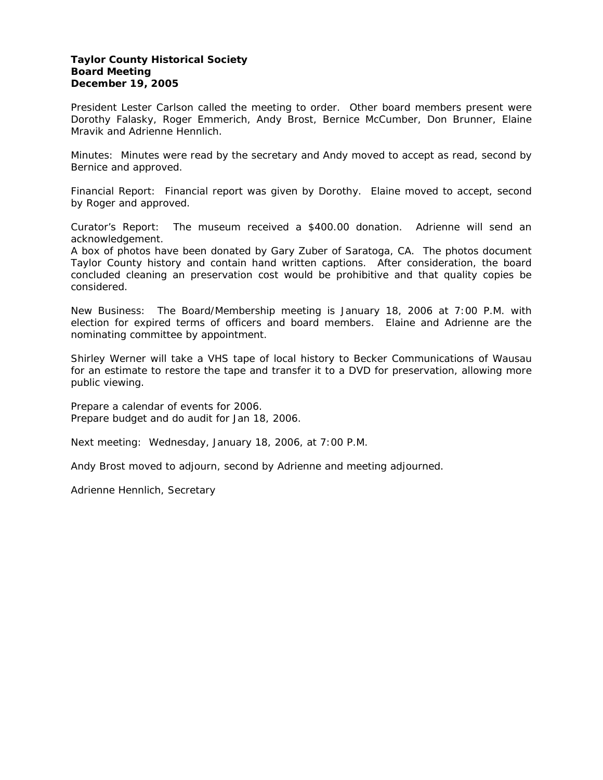#### **Taylor County Historical Society Board Meeting December 19, 2005**

President Lester Carlson called the meeting to order. Other board members present were Dorothy Falasky, Roger Emmerich, Andy Brost, Bernice McCumber, Don Brunner, Elaine Mravik and Adrienne Hennlich.

Minutes: Minutes were read by the secretary and Andy moved to accept as read, second by Bernice and approved.

Financial Report: Financial report was given by Dorothy. Elaine moved to accept, second by Roger and approved.

Curator's Report: The museum received a \$400.00 donation. Adrienne will send an acknowledgement.

A box of photos have been donated by Gary Zuber of Saratoga, CA. The photos document Taylor County history and contain hand written captions. After consideration, the board concluded cleaning an preservation cost would be prohibitive and that quality copies be considered.

New Business: The Board/Membership meeting is January 18, 2006 at 7:00 P.M. with election for expired terms of officers and board members. Elaine and Adrienne are the nominating committee by appointment.

Shirley Werner will take a VHS tape of local history to Becker Communications of Wausau for an estimate to restore the tape and transfer it to a DVD for preservation, allowing more public viewing.

Prepare a calendar of events for 2006. Prepare budget and do audit for Jan 18, 2006.

Next meeting: Wednesday, January 18, 2006, at 7:00 P.M.

Andy Brost moved to adjourn, second by Adrienne and meeting adjourned.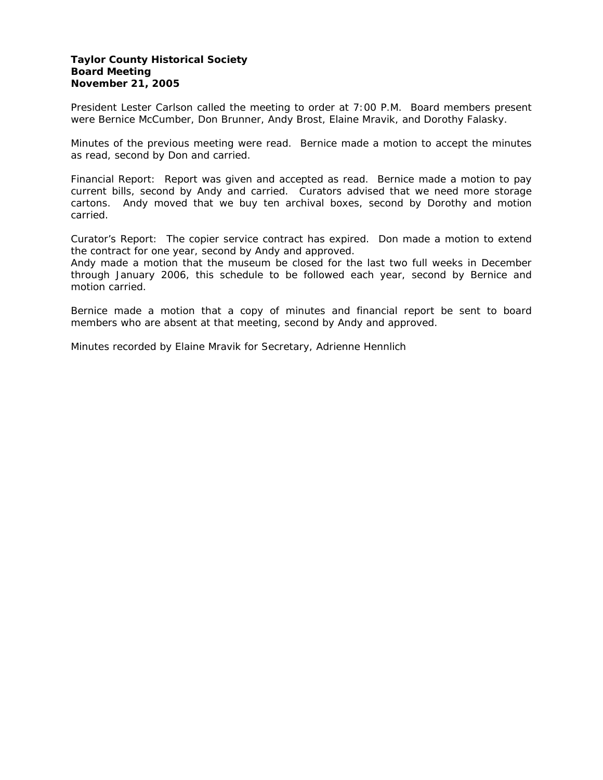#### **Taylor County Historical Society Board Meeting November 21, 2005**

President Lester Carlson called the meeting to order at 7:00 P.M. Board members present were Bernice McCumber, Don Brunner, Andy Brost, Elaine Mravik, and Dorothy Falasky.

Minutes of the previous meeting were read. Bernice made a motion to accept the minutes as read, second by Don and carried.

Financial Report: Report was given and accepted as read. Bernice made a motion to pay current bills, second by Andy and carried. Curators advised that we need more storage cartons. Andy moved that we buy ten archival boxes, second by Dorothy and motion carried.

Curator's Report: The copier service contract has expired. Don made a motion to extend the contract for one year, second by Andy and approved.

Andy made a motion that the museum be closed for the last two full weeks in December through January 2006, this schedule to be followed each year, second by Bernice and motion carried.

Bernice made a motion that a copy of minutes and financial report be sent to board members who are absent at that meeting, second by Andy and approved.

Minutes recorded by Elaine Mravik for Secretary, Adrienne Hennlich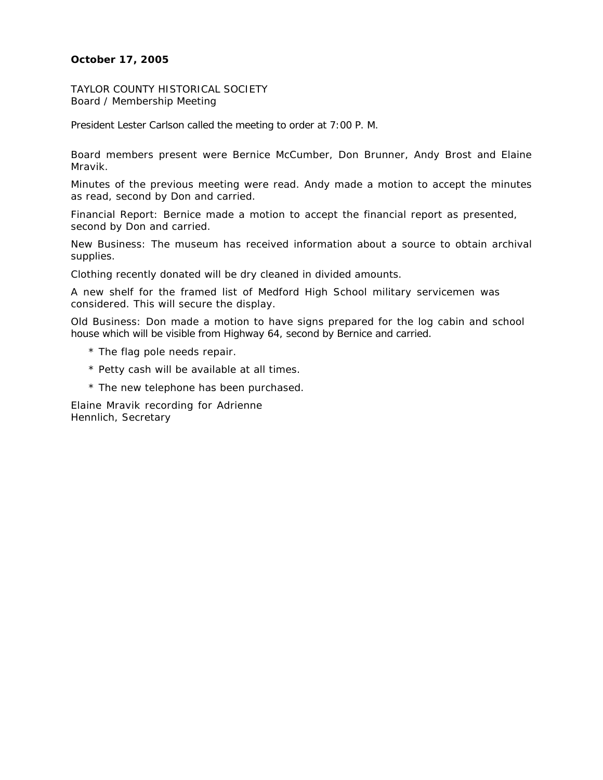# **October 17, 2005**

TAYLOR COUNTY HISTORICAL SOCIETY Board / Membership Meeting

President Lester Carlson called the meeting to order at 7:00 P. M.

Board members present were Bernice McCumber, Don Brunner, Andy Brost and Elaine Mravik.

Minutes of the previous meeting were read. Andy made a motion to accept the minutes as read, second by Don and carried.

Financial Report: Bernice made a motion to accept the financial report as presented, second by Don and carried.

New Business: The museum has received information about a source to obtain archival supplies.

Clothing recently donated will be dry cleaned in divided amounts.

A new shelf for the framed list of Medford High School military servicemen was considered. This will secure the display.

Old Business: Don made a motion to have signs prepared for the log cabin and school house which will be visible from Highway 64, second by Bernice and carried.

- \* The flag pole needs repair.
- \* Petty cash will be available at all times.
- \* The new telephone has been purchased.

Elaine Mravik recording for Adrienne Hennlich, Secretary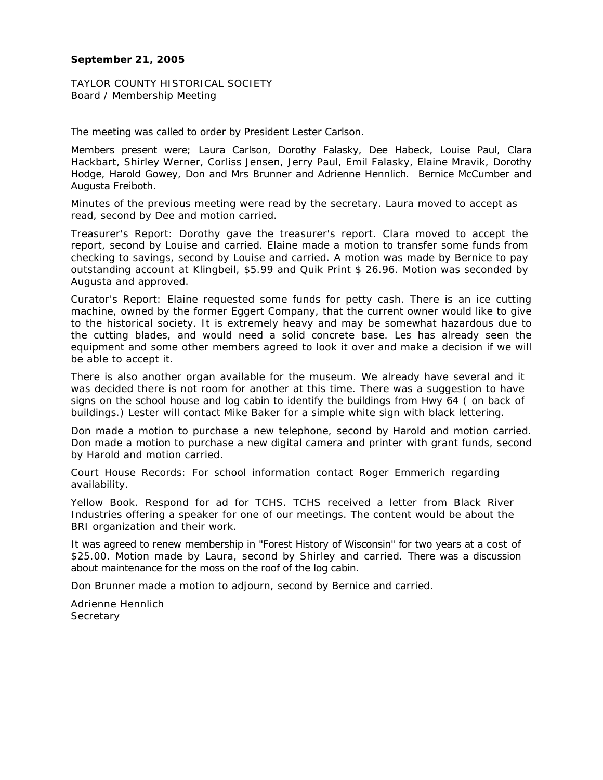#### **September 21, 2005**

TAYLOR COUNTY HISTORICAL SOCIETY Board / Membership Meeting

The meeting was called to order by President Lester Carlson.

Members present were; Laura Carlson, Dorothy Falasky, Dee Habeck, Louise Paul, Clara Hackbart, Shirley Werner, Corliss Jensen, Jerry Paul, Emil Falasky, Elaine Mravik, Dorothy Hodge, Harold Gowey, Don and Mrs Brunner and Adrienne Hennlich. Bernice McCumber and Augusta Freiboth.

Minutes of the previous meeting were read by the secretary. Laura moved to accept as read, second by Dee and motion carried.

Treasurer's Report: Dorothy gave the treasurer's report. Clara moved to accept the report, second by Louise and carried. Elaine made a motion to transfer some funds from checking to savings, second by Louise and carried. A motion was made by Bernice to pay outstanding account at Klingbeil, \$5.99 and Quik Print \$ 26.96. Motion was seconded by Augusta and approved.

Curator's Report: Elaine requested some funds for petty cash. There is an ice cutting machine, owned by the former Eggert Company, that the current owner would like to give to the historical society. It is extremely heavy and may be somewhat hazardous due to the cutting blades, and would need a solid concrete base. Les has already seen the equipment and some other members agreed to look it over and make a decision if we will be able to accept it.

There is also another organ available for the museum. We already have several and it was decided there is not room for another at this time. There was a suggestion to have signs on the school house and log cabin to identify the buildings from Hwy 64 ( on back of buildings.) Lester will contact Mike Baker for a simple white sign with black lettering.

Don made a motion to purchase a new telephone, second by Harold and motion carried. Don made a motion to purchase a new digital camera and printer with grant funds, second by Harold and motion carried.

Court House Records: For school information contact Roger Emmerich regarding availability.

Yellow Book. Respond for ad for TCHS. TCHS received a letter from Black River Industries offering a speaker for one of our meetings. The content would be about the BRI organization and their work.

It was agreed to renew membership in "Forest History of Wisconsin" for two years at a cost of \$25.00. Motion made by Laura, second by Shirley and carried. There was a discussion about maintenance for the moss on the roof of the log cabin.

Don Brunner made a motion to adjourn, second by Bernice and carried.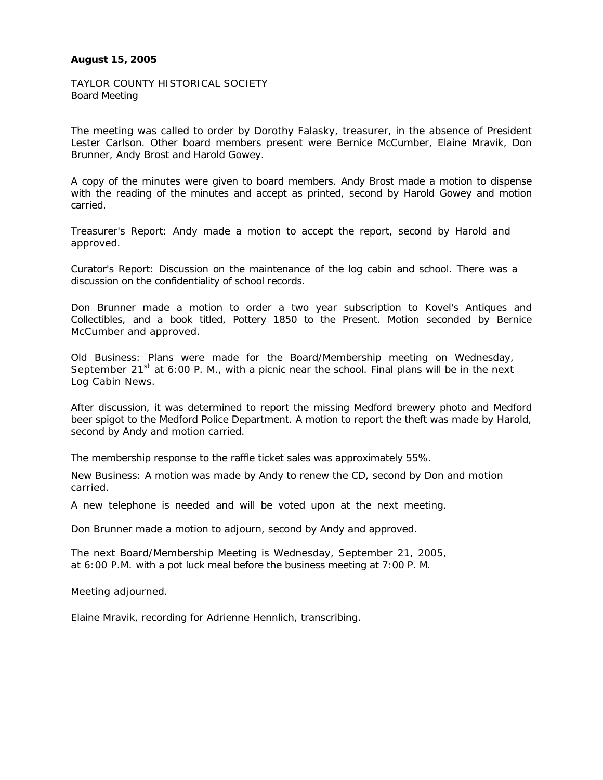## **August 15, 2005**

TAYLOR COUNTY HISTORICAL SOCIETY Board Meeting

The meeting was called to order by Dorothy Falasky, treasurer, in the absence of President Lester Carlson. Other board members present were Bernice McCumber, Elaine Mravik, Don Brunner, Andy Brost and Harold Gowey.

A copy of the minutes were given to board members. Andy Brost made a motion to dispense with the reading of the minutes and accept as printed, second by Harold Gowey and motion carried.

Treasurer's Report: Andy made a motion to accept the report, second by Harold and approved.

Curator's Report: Discussion on the maintenance of the log cabin and school. There was a discussion on the confidentiality of school records.

Don Brunner made a motion to order a two year subscription to Kovel's Antiques and Collectibles, and a book titled, Pottery 1850 to the Present. Motion seconded by Bernice McCumber and approved.

Old Business: Plans were made for the Board/Membership meeting on Wednesday, September 21<sup>st</sup> at 6:00 P. M., with a picnic near the school. Final plans will be in the next Log Cabin News.

After discussion, it was determined to report the missing Medford brewery photo and Medford beer spigot to the Medford Police Department. A motion to report the theft was made by Harold, second by Andy and motion carried.

The membership response to the raffle ticket sales was approximately 55%.

New Business: A motion was made by Andy to renew the CD, second by Don and motion carried.

A new telephone is needed and will be voted upon at the next meeting.

Don Brunner made a motion to adjourn, second by Andy and approved.

The next Board/Membership Meeting is Wednesday, September 21, 2005, at 6:00 P.M. with a pot luck meal before the business meeting at 7:00 P. M.

Meeting adjourned.

Elaine Mravik, recording for Adrienne Hennlich, transcribing.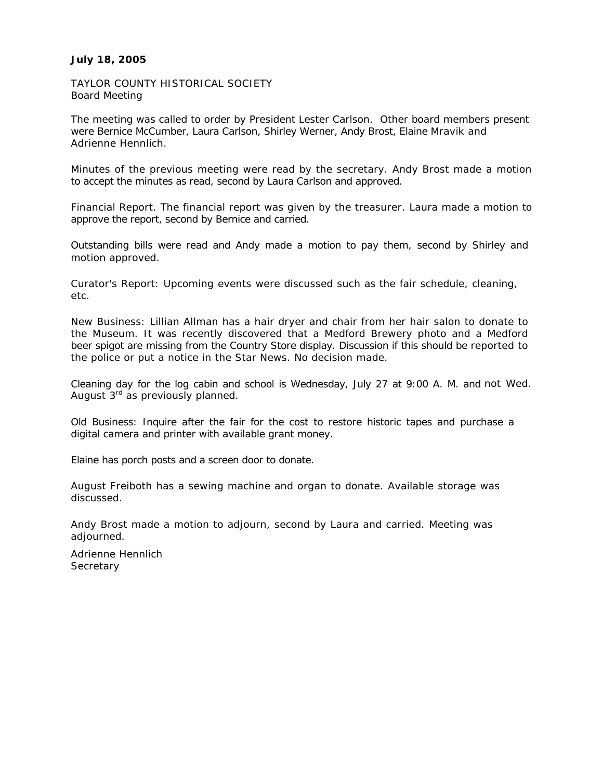## **July 18, 2005**

TAYLOR COUNTY HISTORICAL SOCIETY Board Meeting

The meeting was called to order by President Lester Carlson. Other board members present were Bernice McCumber, Laura Carlson, Shirley Werner, Andy Brost, Elaine Mravik and Adrienne Hennlich.

Minutes of the previous meeting were read by the secretary. Andy Brost made a motion to accept the minutes as read, second by Laura Carlson and approved.

Financial Report. The financial report was given by the treasurer. Laura made a motion to approve the report, second by Bernice and carried.

Outstanding bills were read and Andy made a motion to pay them, second by Shirley and motion approved.

Curator's Report: Upcoming events were discussed such as the fair schedule, cleaning, etc.

New Business: Lillian Allman has a hair dryer and chair from her hair salon to donate to the Museum. It was recently discovered that a Medford Brewery photo and a Medford beer spigot are missing from the Country Store display. Discussion if this should be reported to the police or put a notice in the Star News. No decision made.

Cleaning day for the log cabin and school is Wednesday, July 27 at 9:00 A. M. and not Wed. August  $3<sup>rd</sup>$  as previously planned.

Old Business: Inquire after the fair for the cost to restore historic tapes and purchase a digital camera and printer with available grant money.

Elaine has porch posts and a screen door to donate.

August Freiboth has a sewing machine and organ to donate. Available storage was discussed.

Andy Brost made a motion to adjourn, second by Laura and carried. Meeting was adjourned.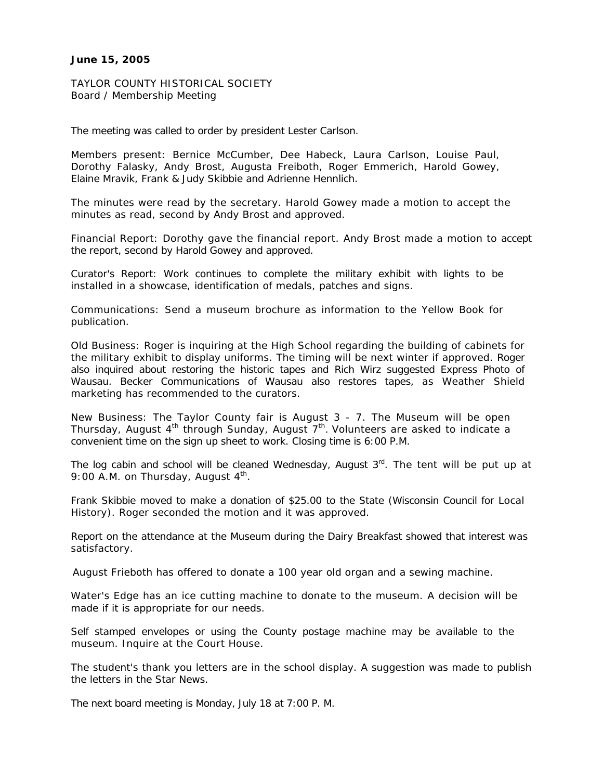#### **June 15, 2005**

TAYLOR COUNTY HISTORICAL SOCIETY Board / Membership Meeting

The meeting was called to order by president Lester Carlson.

Members present: Bernice McCumber, Dee Habeck, Laura Carlson, Louise Paul, Dorothy Falasky, Andy Brost, Augusta Freiboth, Roger Emmerich, Harold Gowey, Elaine Mravik, Frank & Judy Skibbie and Adrienne Hennlich.

The minutes were read by the secretary. Harold Gowey made a motion to accept the minutes as read, second by Andy Brost and approved.

Financial Report: Dorothy gave the financial report. Andy Brost made a motion to accept the report, second by Harold Gowey and approved.

Curator's Report: Work continues to complete the military exhibit with lights to be installed in a showcase, identification of medals, patches and signs.

Communications: Send a museum brochure as information to the Yellow Book for publication.

Old Business: Roger is inquiring at the High School regarding the building of cabinets for the military exhibit to display uniforms. The timing will be next winter if approved. Roger also inquired about restoring the historic tapes and Rich Wirz suggested Express Photo of Wausau. Becker Communications of Wausau also restores tapes, as Weather Shield marketing has recommended to the curators.

New Business: The Taylor County fair is August 3 - 7. The Museum will be open Thursday, August  $4<sup>th</sup>$  through Sunday, August  $7<sup>th</sup>$ . Volunteers are asked to indicate a convenient time on the sign up sheet to work. Closing time is 6:00 P.M.

The log cabin and school will be cleaned Wednesday, August  $3<sup>rd</sup>$ . The tent will be put up at 9:00 A.M. on Thursday, August  $4<sup>th</sup>$ .

Frank Skibbie moved to make a donation of \$25.00 to the State (Wisconsin Council for Local History). Roger seconded the motion and it was approved.

Report on the attendance at the Museum during the Dairy Breakfast showed that interest was satisfactory.

August Frieboth has offered to donate a 100 year old organ and a sewing machine.

Water's Edge has an ice cutting machine to donate to the museum. A decision will be made if it is appropriate for our needs.

Self stamped envelopes or using the County postage machine may be available to the museum. Inquire at the Court House.

The student's thank you letters are in the school display. A suggestion was made to publish the letters in the Star News.

The next board meeting is Monday, July 18 at 7:00 P. M.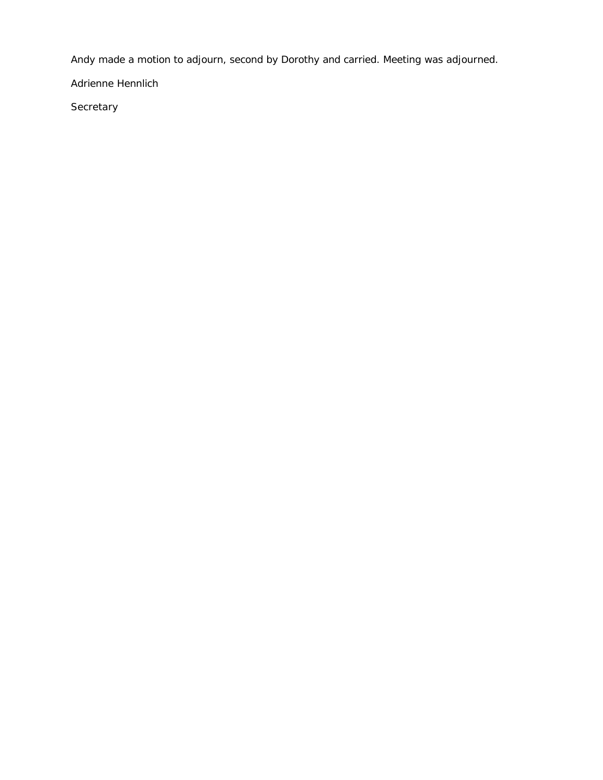Andy made a motion to adjourn, second by Dorothy and carried. Meeting was adjourned.

Adrienne Hennlich

**Secretary**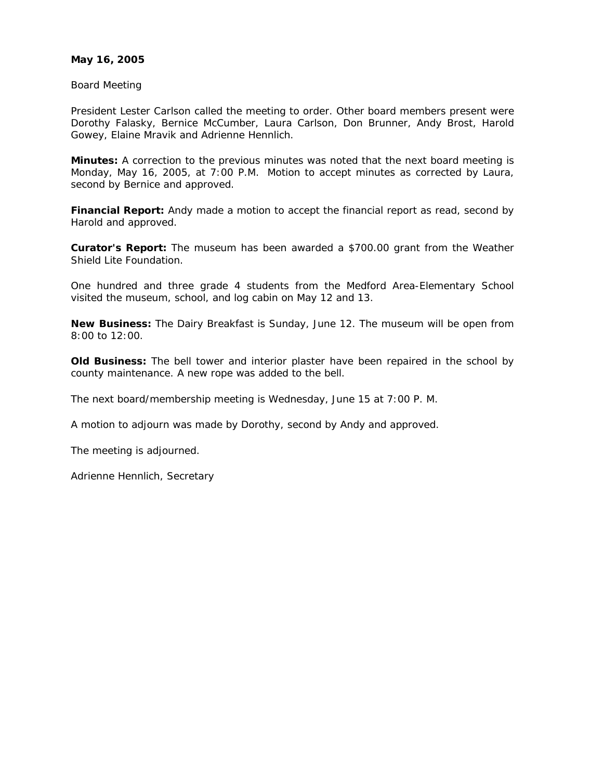## **May 16, 2005**

Board Meeting

President Lester Carlson called the meeting to order. Other board members present were Dorothy Falasky, Bernice McCumber, Laura Carlson, Don Brunner, Andy Brost, Harold Gowey, Elaine Mravik and Adrienne Hennlich.

**Minutes:** A correction to the previous minutes was noted that the next board meeting is Monday, May 16, 2005, at 7:00 P.M. Motion to accept minutes as corrected by Laura, second by Bernice and approved.

**Financial Report:** Andy made a motion to accept the financial report as read, second by Harold and approved.

**Curator's Report:** The museum has been awarded a \$700.00 grant from the Weather Shield Lite Foundation.

One hundred and three grade 4 students from the Medford Area-Elementary School visited the museum, school, and log cabin on May 12 and 13.

**New Business:** The Dairy Breakfast is Sunday, June 12. The museum will be open from 8:00 to 12:00.

**Old Business:** The bell tower and interior plaster have been repaired in the school by county maintenance. A new rope was added to the bell.

The next board/membership meeting is Wednesday, June 15 at 7:00 P. M.

A motion to adjourn was made by Dorothy, second by Andy and approved.

The meeting is adjourned.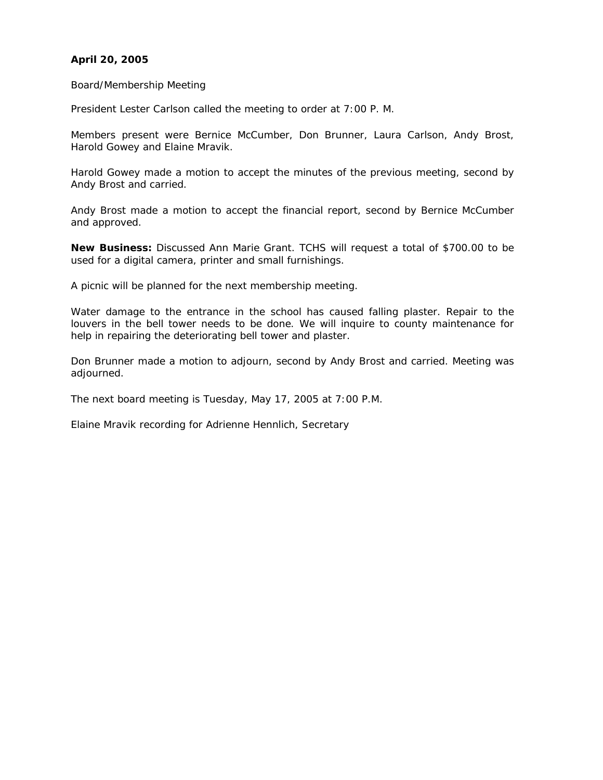# **April 20, 2005**

Board/Membership Meeting

President Lester Carlson called the meeting to order at 7:00 P. M.

Members present were Bernice McCumber, Don Brunner, Laura Carlson, Andy Brost, Harold Gowey and Elaine Mravik.

Harold Gowey made a motion to accept the minutes of the previous meeting, second by Andy Brost and carried.

Andy Brost made a motion to accept the financial report, second by Bernice McCumber and approved.

**New Business:** Discussed Ann Marie Grant. TCHS will request a total of \$700.00 to be used for a digital camera, printer and small furnishings.

A picnic will be planned for the next membership meeting.

Water damage to the entrance in the school has caused falling plaster. Repair to the louvers in the bell tower needs to be done. We will inquire to county maintenance for help in repairing the deteriorating bell tower and plaster.

Don Brunner made a motion to adjourn, second by Andy Brost and carried. Meeting was adjourned.

The next board meeting is Tuesday, May 17, 2005 at 7:00 P.M.

Elaine Mravik recording for Adrienne Hennlich, Secretary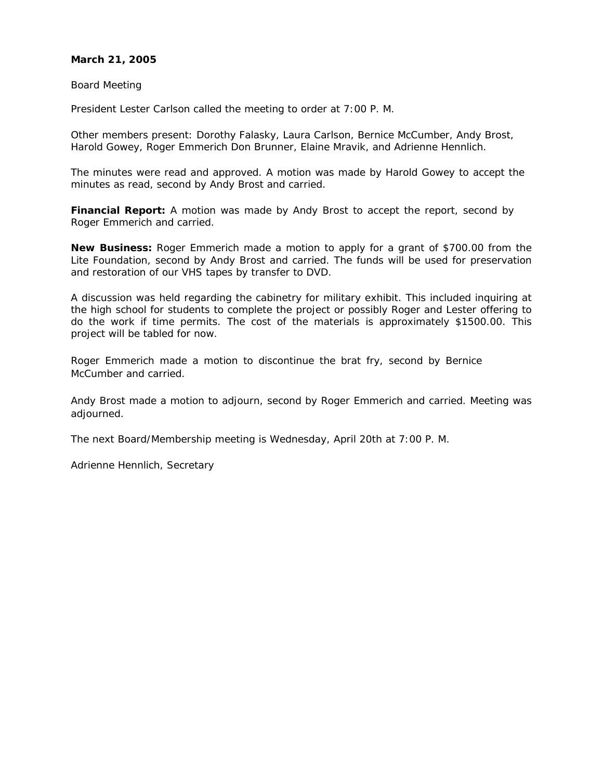## **March 21, 2005**

Board Meeting

President Lester Carlson called the meeting to order at 7:00 P. M.

Other members present: Dorothy Falasky, Laura Carlson, Bernice McCumber, Andy Brost, Harold Gowey, Roger Emmerich Don Brunner, Elaine Mravik, and Adrienne Hennlich.

The minutes were read and approved. A motion was made by Harold Gowey to accept the minutes as read, second by Andy Brost and carried.

**Financial Report:** A motion was made by Andy Brost to accept the report, second by Roger Emmerich and carried.

**New Business:** Roger Emmerich made a motion to apply for a grant of \$700.00 from the Lite Foundation, second by Andy Brost and carried. The funds will be used for preservation and restoration of our VHS tapes by transfer to DVD.

A discussion was held regarding the cabinetry for military exhibit. This included inquiring at the high school for students to complete the project or possibly Roger and Lester offering to do the work if time permits. The cost of the materials is approximately \$1500.00. This project will be tabled for now.

Roger Emmerich made a motion to discontinue the brat fry, second by Bernice McCumber and carried.

Andy Brost made a motion to adjourn, second by Roger Emmerich and carried. Meeting was adiourned.

The next Board/Membership meeting is Wednesday, April 20th at 7:00 P. M.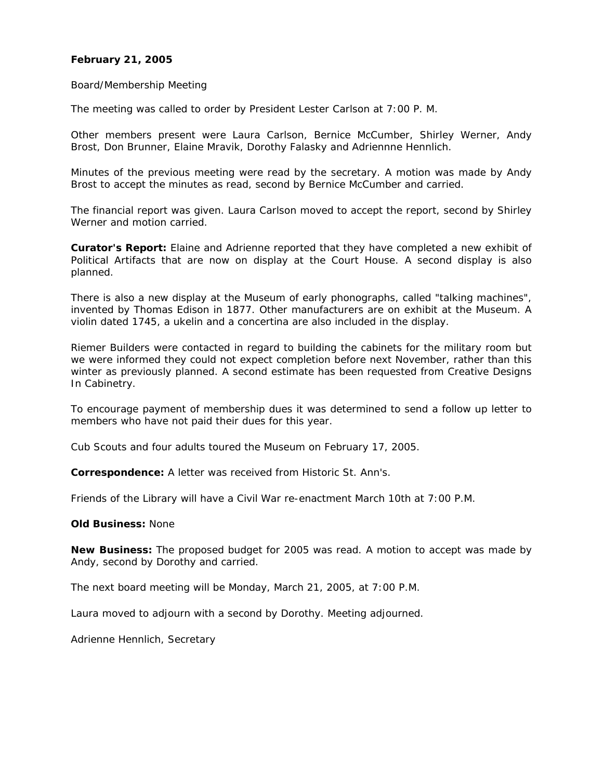#### **February 21, 2005**

#### Board/Membership Meeting

The meeting was called to order by President Lester Carlson at 7:00 P. M.

Other members present were Laura Carlson, Bernice McCumber, Shirley Werner, Andy Brost, Don Brunner, Elaine Mravik, Dorothy Falasky and Adriennne Hennlich.

Minutes of the previous meeting were read by the secretary. A motion was made by Andy Brost to accept the minutes as read, second by Bernice McCumber and carried.

The financial report was given. Laura Carlson moved to accept the report, second by Shirley Werner and motion carried.

**Curator's Report:** Elaine and Adrienne reported that they have completed a new exhibit of Political Artifacts that are now on display at the Court House. A second display is also planned.

There is also a new display at the Museum of early phonographs, called "talking machines", invented by Thomas Edison in 1877. Other manufacturers are on exhibit at the Museum. A violin dated 1745, a ukelin and a concertina are also included in the display.

Riemer Builders were contacted in regard to building the cabinets for the military room but we were informed they could not expect completion before next November, rather than this winter as previously planned. A second estimate has been requested from Creative Designs In Cabinetry.

To encourage payment of membership dues it was determined to send a follow up letter to members who have not paid their dues for this year.

Cub Scouts and four adults toured the Museum on February 17, 2005.

**Correspondence:** A letter was received from Historic St. Ann's.

Friends of the Library will have a Civil War re-enactment March 10th at 7:00 P.M.

#### **Old Business:** None

**New Business:** The proposed budget for 2005 was read. A motion to accept was made by Andy, second by Dorothy and carried.

The next board meeting will be Monday, March 21, 2005, at 7:00 P.M.

Laura moved to adjourn with a second by Dorothy. Meeting adjourned.